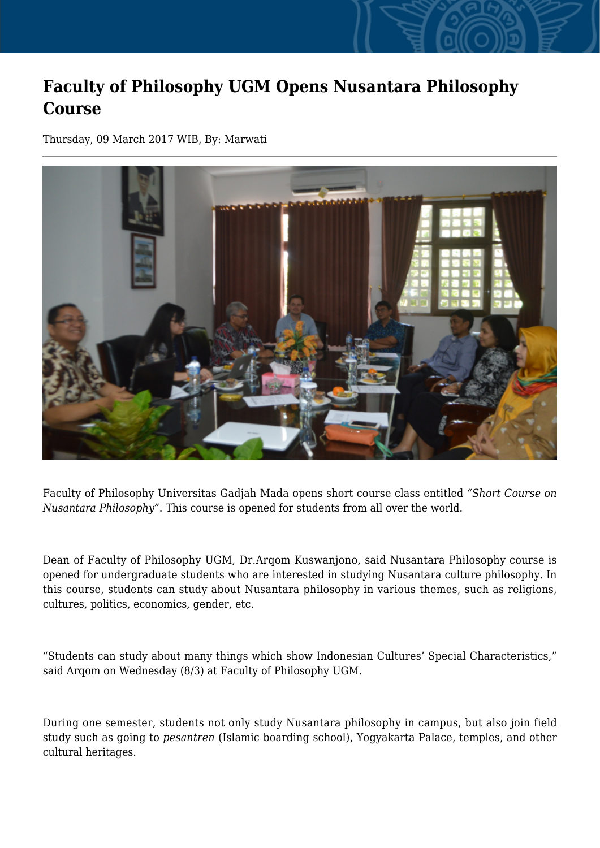## **Faculty of Philosophy UGM Opens Nusantara Philosophy Course**

Thursday, 09 March 2017 WIB, By: Marwati



Faculty of Philosophy Universitas Gadjah Mada opens short course class entitled *"Short Course on Nusantara Philosophy"*. This course is opened for students from all over the world.

Dean of Faculty of Philosophy UGM, Dr.Arqom Kuswanjono, said Nusantara Philosophy course is opened for undergraduate students who are interested in studying Nusantara culture philosophy. In this course, students can study about Nusantara philosophy in various themes, such as religions, cultures, politics, economics, gender, etc.

"Students can study about many things which show Indonesian Cultures' Special Characteristics," said Arqom on Wednesday (8/3) at Faculty of Philosophy UGM.

During one semester, students not only study Nusantara philosophy in campus, but also join field study such as going to *pesantren* (Islamic boarding school), Yogyakarta Palace, temples, and other cultural heritages.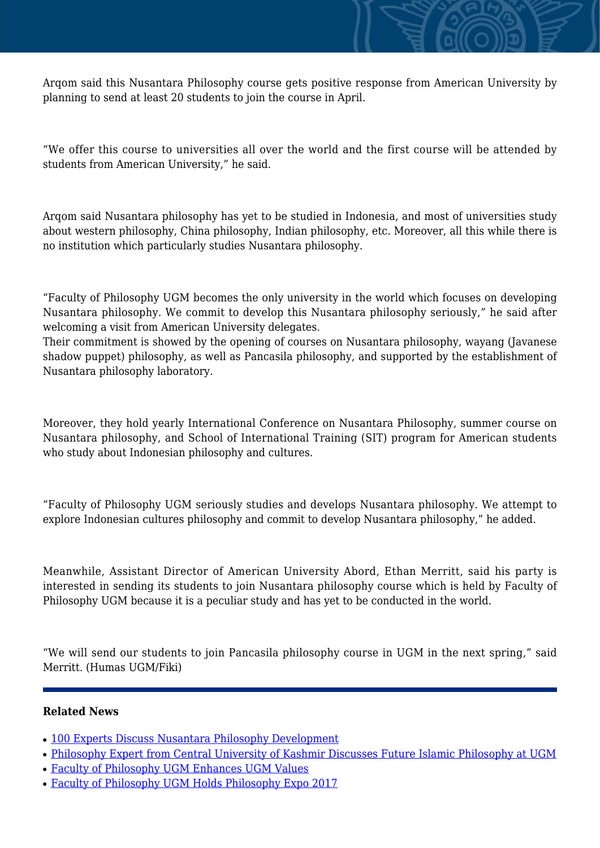Arqom said this Nusantara Philosophy course gets positive response from American University by planning to send at least 20 students to join the course in April.

"We offer this course to universities all over the world and the first course will be attended by students from American University," he said.

Arqom said Nusantara philosophy has yet to be studied in Indonesia, and most of universities study about western philosophy, China philosophy, Indian philosophy, etc. Moreover, all this while there is no institution which particularly studies Nusantara philosophy.

"Faculty of Philosophy UGM becomes the only university in the world which focuses on developing Nusantara philosophy. We commit to develop this Nusantara philosophy seriously," he said after welcoming a visit from American University delegates.

Their commitment is showed by the opening of courses on Nusantara philosophy, wayang (Javanese shadow puppet) philosophy, as well as Pancasila philosophy, and supported by the establishment of Nusantara philosophy laboratory.

Moreover, they hold yearly International Conference on Nusantara Philosophy, summer course on Nusantara philosophy, and School of International Training (SIT) program for American students who study about Indonesian philosophy and cultures.

"Faculty of Philosophy UGM seriously studies and develops Nusantara philosophy. We attempt to explore Indonesian cultures philosophy and commit to develop Nusantara philosophy," he added.

Meanwhile, Assistant Director of American University Abord, Ethan Merritt, said his party is interested in sending its students to join Nusantara philosophy course which is held by Faculty of Philosophy UGM because it is a peculiar study and has yet to be conducted in the world.

"We will send our students to join Pancasila philosophy course in UGM in the next spring," said Merritt. (Humas UGM/Fiki)

## **Related News**

- [100 Experts Discuss Nusantara Philosophy Development](http://ugm.ac.id/www.ugm.ac.id//en/news/13839-faculty-of-philosophy-ugm-enhances-ugm-values)
- [Philosophy Expert from Central University of Kashmir Discusses Future Islamic Philosophy at UGM](http://ugm.ac.id/www.ugm.ac.id//en/news/14604-faculty-of-philosophy-ugm-holds-philosophy-expo-2017)
- [Faculty of Philosophy UGM Enhances UGM Values](http://ugm.ac.id/www.ugm.ac.id//en/news/16873-nusantara-philosophy-studies-a-challenge-for-faculty-of-philosophy-ugm)
- [Faculty of Philosophy UGM Holds Philosophy Expo 2017](http://ugm.ac.id/www.ugm.ac.id//en/news/14217-100-experts-discuss-nusantara-philosophy-development)